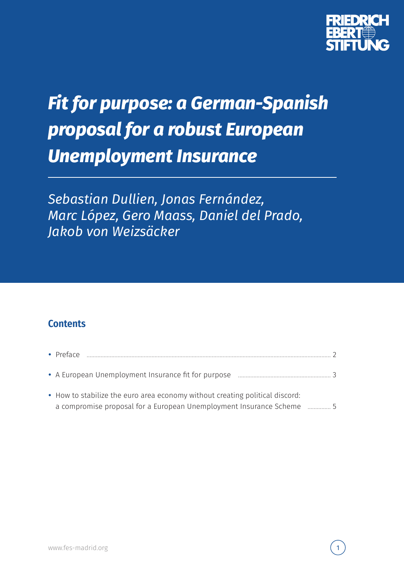

# *Fit for purpose: a German-Spanish proposal for a robust European Unemployment Insurance*

*Sebastian Dullien, Jonas Fernández, Marc López, Gero Maass, Daniel del Prado, Jakob von Weizsäcker*

### **Contents**

| $\bullet$ Preface                                                            |  |
|------------------------------------------------------------------------------|--|
|                                                                              |  |
| • How to stabilize the euro area economy without creating political discord: |  |
|                                                                              |  |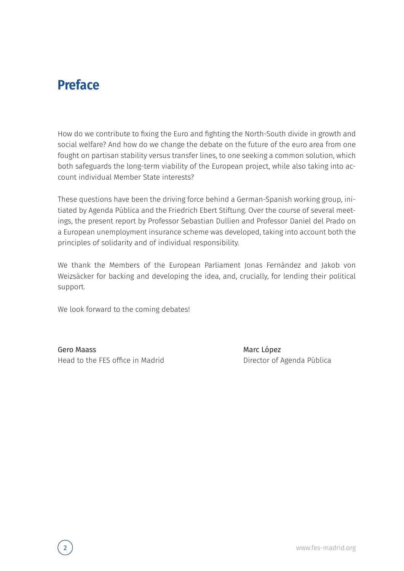## **Preface**

How do we contribute to fixing the Euro and fighting the North-South divide in growth and social welfare? And how do we change the debate on the future of the euro area from one fought on partisan stability versus transfer lines, to one seeking a common solution, which both safeguards the long-term viability of the European project, while also taking into account individual Member State interests?

These questions have been the driving force behind a German-Spanish working group, initiated by Agenda Pública and the Friedrich Ebert Stiftung. Over the course of several meetings, the present report by Professor Sebastian Dullien and Professor Daniel del Prado on a European unemployment insurance scheme was developed, taking into account both the principles of solidarity and of individual responsibility.

We thank the Members of the European Parliament Jonas Fernández and Jakob von Weizsäcker for backing and developing the idea, and, crucially, for lending their political support.

We look forward to the coming debates!

Gero Maass Head to the FES office in Madrid Marc López Director of Agenda Pública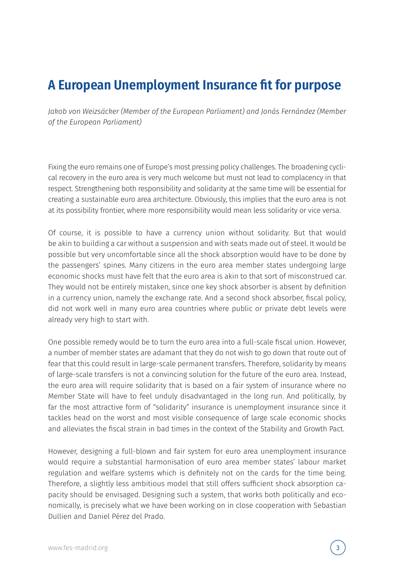## **A European Unemployment Insurance fit for purpose**

*Jakob von Weizsäcker (Member of the European Parliament) and Jonás Fernández (Member of the European Parliament)*

Fixing the euro remains one of Europe's most pressing policy challenges. The broadening cyclical recovery in the euro area is very much welcome but must not lead to complacency in that respect. Strengthening both responsibility and solidarity at the same time will be essential for creating a sustainable euro area architecture. Obviously, this implies that the euro area is not at its possibility frontier, where more responsibility would mean less solidarity or vice versa.

Of course, it is possible to have a currency union without solidarity. But that would be akin to building a car without a suspension and with seats made out of steel. It would be possible but very uncomfortable since all the shock absorption would have to be done by the passengers' spines. Many citizens in the euro area member states undergoing large economic shocks must have felt that the euro area is akin to that sort of misconstrued car. They would not be entirely mistaken, since one key shock absorber is absent by definition in a currency union, namely the exchange rate. And a second shock absorber, fiscal policy, did not work well in many euro area countries where public or private debt levels were already very high to start with.

One possible remedy would be to turn the euro area into a full-scale fiscal union. However, a number of member states are adamant that they do not wish to go down that route out of fear that this could result in large-scale permanent transfers. Therefore, solidarity by means of large-scale transfers is not a convincing solution for the future of the euro area. Instead, the euro area will require solidarity that is based on a fair system of insurance where no Member State will have to feel unduly disadvantaged in the long run. And politically, by far the most attractive form of "solidarity" insurance is unemployment insurance since it tackles head on the worst and most visible consequence of large scale economic shocks and alleviates the fiscal strain in bad times in the context of the Stability and Growth Pact.

However, designing a full-blown and fair system for euro area unemployment insurance would require a substantial harmonisation of euro area member states' labour market regulation and welfare systems which is definitely not on the cards for the time being. Therefore, a slightly less ambitious model that still offers sufficient shock absorption capacity should be envisaged. Designing such a system, that works both politically and economically, is precisely what we have been working on in close cooperation with Sebastian Dullien and Daniel Pérez del Prado.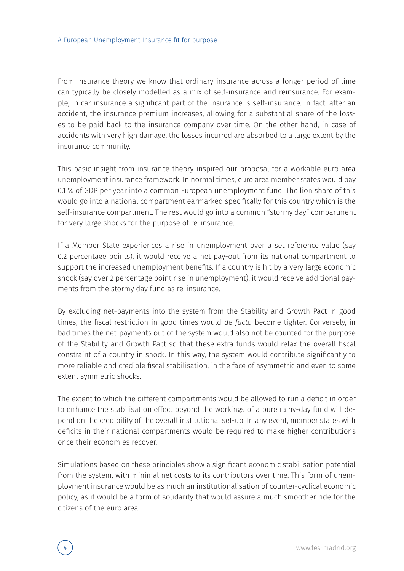From insurance theory we know that ordinary insurance across a longer period of time can typically be closely modelled as a mix of self-insurance and reinsurance. For example, in car insurance a significant part of the insurance is self-insurance. In fact, after an accident, the insurance premium increases, allowing for a substantial share of the losses to be paid back to the insurance company over time. On the other hand, in case of accidents with very high damage, the losses incurred are absorbed to a large extent by the insurance community.

This basic insight from insurance theory inspired our proposal for a workable euro area unemployment insurance framework. In normal times, euro area member states would pay 0.1 % of GDP per year into a common European unemployment fund. The lion share of this would go into a national compartment earmarked specifically for this country which is the self-insurance compartment. The rest would go into a common "stormy day" compartment for very large shocks for the purpose of re-insurance.

If a Member State experiences a rise in unemployment over a set reference value (say 0.2 percentage points), it would receive a net pay-out from its national compartment to support the increased unemployment benefits. If a country is hit by a very large economic shock (say over 2 percentage point rise in unemployment), it would receive additional payments from the stormy day fund as re-insurance.

By excluding net-payments into the system from the Stability and Growth Pact in good times, the fiscal restriction in good times would *de facto* become tighter. Conversely, in bad times the net-payments out of the system would also not be counted for the purpose of the Stability and Growth Pact so that these extra funds would relax the overall fiscal constraint of a country in shock. In this way, the system would contribute significantly to more reliable and credible fiscal stabilisation, in the face of asymmetric and even to some extent symmetric shocks.

The extent to which the different compartments would be allowed to run a deficit in order to enhance the stabilisation effect beyond the workings of a pure rainy-day fund will depend on the credibility of the overall institutional set-up. In any event, member states with deficits in their national compartments would be required to make higher contributions once their economies recover.

Simulations based on these principles show a significant economic stabilisation potential from the system, with minimal net costs to its contributors over time. This form of unemployment insurance would be as much an institutionalisation of counter-cyclical economic policy, as it would be a form of solidarity that would assure a much smoother ride for the citizens of the euro area.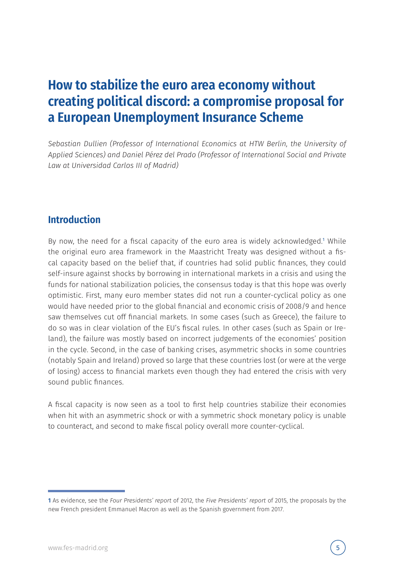### **How to stabilize the euro area economy without creating political discord: a compromise proposal for a European Unemployment Insurance Scheme**

*Sebastian Dullien (Professor of International Economics at HTW Berlin, the University of Applied Sciences) and Daniel Pérez del Prado (Professor of International Social and Private Law at Universidad Carlos III of Madrid)*

#### **Introduction**

By now, the need for a fiscal capacity of the euro area is widely acknowledged.<sup>1</sup> While the original euro area framework in the Maastricht Treaty was designed without a fiscal capacity based on the belief that, if countries had solid public finances, they could self-insure against shocks by borrowing in international markets in a crisis and using the funds for national stabilization policies, the consensus today is that this hope was overly optimistic. First, many euro member states did not run a counter-cyclical policy as one would have needed prior to the global financial and economic crisis of 2008/9 and hence saw themselves cut off financial markets. In some cases (such as Greece), the failure to do so was in clear violation of the EU's fiscal rules. In other cases (such as Spain or Ireland), the failure was mostly based on incorrect judgements of the economies' position in the cycle. Second, in the case of banking crises, asymmetric shocks in some countries (notably Spain and Ireland) proved so large that these countries lost (or were at the verge of losing) access to financial markets even though they had entered the crisis with very sound public finances.

A fiscal capacity is now seen as a tool to first help countries stabilize their economies when hit with an asymmetric shock or with a symmetric shock monetary policy is unable to counteract, and second to make fiscal policy overall more counter-cyclical.

<sup>1</sup> As evidence, see the *Four Presidents' report* of 2012, the *Five Presidents' report* of 2015, the proposals by the new French president Emmanuel Macron as well as the Spanish government from 2017.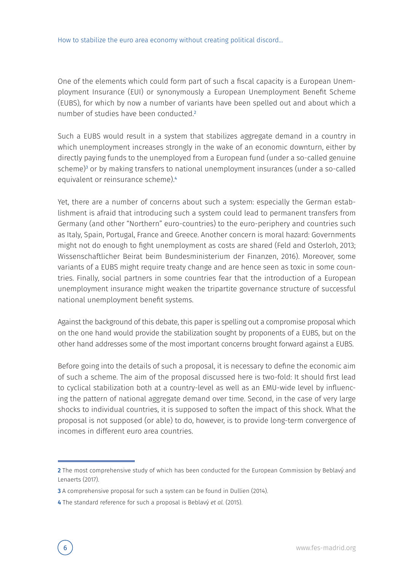One of the elements which could form part of such a fiscal capacity is a European Unemployment Insurance (EUI) or synonymously a European Unemployment Benefit Scheme (EUBS), for which by now a number of variants have been spelled out and about which a number of studies have been conducted.<sup>2</sup>

Such a EUBS would result in a system that stabilizes aggregate demand in a country in which unemployment increases strongly in the wake of an economic downturn, either by directly paying funds to the unemployed from a European fund (under a so-called genuine scheme)<sup>3</sup> or by making transfers to national unemployment insurances (under a so-called equivalent or reinsurance scheme).<sup>4</sup>

Yet, there are a number of concerns about such a system: especially the German establishment is afraid that introducing such a system could lead to permanent transfers from Germany (and other "Northern" euro-countries) to the euro-periphery and countries such as Italy, Spain, Portugal, France and Greece. Another concern is moral hazard: Governments might not do enough to fight unemployment as costs are shared (Feld and Osterloh, 2013; Wissenschaftlicher Beirat beim Bundesministerium der Finanzen, 2016). Moreover, some variants of a EUBS might require treaty change and are hence seen as toxic in some countries. Finally, social partners in some countries fear that the introduction of a European unemployment insurance might weaken the tripartite governance structure of successful national unemployment benefit systems.

Against the background of this debate, this paper is spelling out a compromise proposal which on the one hand would provide the stabilization sought by proponents of a EUBS, but on the other hand addresses some of the most important concerns brought forward against a EUBS.

Before going into the details of such a proposal, it is necessary to define the economic aim of such a scheme. The aim of the proposal discussed here is two-fold: It should first lead to cyclical stabilization both at a country-level as well as an EMU-wide level by influencing the pattern of national aggregate demand over time. Second, in the case of very large shocks to individual countries, it is supposed to soften the impact of this shock. What the proposal is not supposed (or able) to do, however, is to provide long-term convergence of incomes in different euro area countries.

<sup>2</sup> The most comprehensive study of which has been conducted for the European Commission by Beblavý and Lenaerts (2017).

<sup>3</sup> A comprehensive proposal for such a system can be found in Dullien (2014).

<sup>4</sup> The standard reference for such a proposal is Beblavý *et al.* (2015).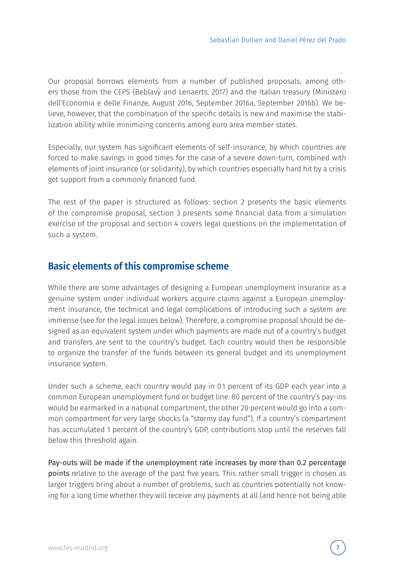Our proposal borrows elements from a number of published proposals, among others those from the CEPS (Beblavý and Lenaerts, 2017) and the Italian treasury (Ministero dell'Economia e delle Finanze, August 2016, September 2016a, September 2016b). We believe, however, that the combination of the specific details is new and maximise the stabilization ability while minimizing concerns among euro area member states.

Especially, our system has significant elements of self-insurance, by which countries are forced to make savings in good times for the case of a severe down-turn, combined with elements of joint insurance (or solidarity), by which countries especially hard hit by a crisis get support from a commonly financed fund.

The rest of the paper is structured as follows: section 2 presents the basic elements of the compromise proposal, section 3 presents some financial data from a simulation exercise of the proposal and section 4 covers legal questions on the implementation of such a system.

#### **Basic elements of this compromise scheme**

While there are some advantages of designing a European unemployment insurance as a genuine system under individual workers acquire claims against a European unemployment insurance, the technical and legal complications of introducing such a system are immense (see for the legal issues below). Therefore, a compromise proposal should be designed as an equivalent system under which payments are made out of a country's budget and transfers are sent to the country's budget. Each country would then be responsible to organize the transfer of the funds between its general budget and its unemployment insurance system.

Under such a scheme, each country would pay in 0.1 percent of its GDP each year into a common European unemployment fund or budget line. 80 percent of the country's pay-ins would be earmarked in a national compartment, the other 20 percent would go into a common compartment for very large shocks (a "stormy day fund"). If a country's compartment has accumulated 1 percent of the country's GDP, contributions stop until the reserves fall below this threshold again.

Pay-outs will be made if the unemployment rate increases by more than 0.2 percentage points relative to the average of the past five years. This rather small trigger is chosen as larger triggers bring about a number of problems, such as countries potentially not knowing for a long time whether they will receive any payments at all (and hence not being able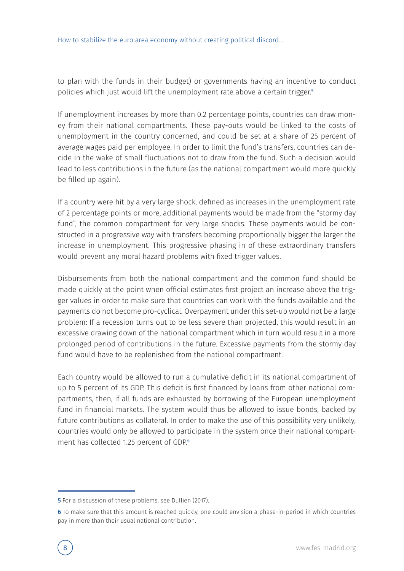to plan with the funds in their budget) or governments having an incentive to conduct policies which just would lift the unemployment rate above a certain trigger.<sup>5</sup>

If unemployment increases by more than 0.2 percentage points, countries can draw money from their national compartments. These pay-outs would be linked to the costs of unemployment in the country concerned, and could be set at a share of 25 percent of average wages paid per employee. In order to limit the fund's transfers, countries can decide in the wake of small fluctuations not to draw from the fund. Such a decision would lead to less contributions in the future (as the national compartment would more quickly be filled up again).

If a country were hit by a very large shock, defined as increases in the unemployment rate of 2 percentage points or more, additional payments would be made from the "stormy day fund", the common compartment for very large shocks. These payments would be constructed in a progressive way with transfers becoming proportionally bigger the larger the increase in unemployment. This progressive phasing in of these extraordinary transfers would prevent any moral hazard problems with fixed trigger values.

Disbursements from both the national compartment and the common fund should be made quickly at the point when official estimates first project an increase above the trigger values in order to make sure that countries can work with the funds available and the payments do not become pro-cyclical. Overpayment under this set-up would not be a large problem: If a recession turns out to be less severe than projected, this would result in an excessive drawing down of the national compartment which in turn would result in a more prolonged period of contributions in the future. Excessive payments from the stormy day fund would have to be replenished from the national compartment.

Each country would be allowed to run a cumulative deficit in its national compartment of up to 5 percent of its GDP. This deficit is first financed by loans from other national compartments, then, if all funds are exhausted by borrowing of the European unemployment fund in financial markets. The system would thus be allowed to issue bonds, backed by future contributions as collateral. In order to make the use of this possibility very unlikely, countries would only be allowed to participate in the system once their national compartment has collected 1.25 percent of GDP.<sup>6</sup>

<sup>5</sup> For a discussion of these problems, see Dullien (2017).

<sup>6</sup> To make sure that this amount is reached quickly, one could envision a phase-in-period in which countries pay in more than their usual national contribution.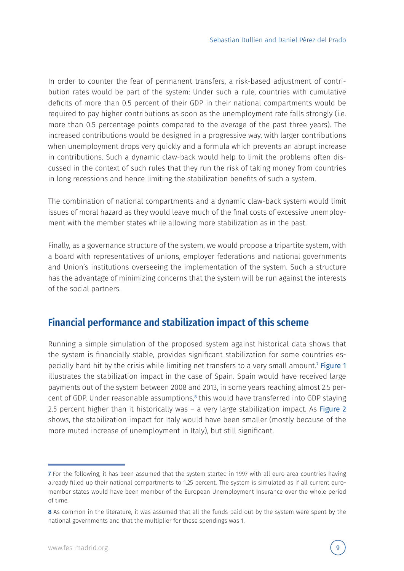In order to counter the fear of permanent transfers, a risk-based adjustment of contribution rates would be part of the system: Under such a rule, countries with cumulative deficits of more than 0.5 percent of their GDP in their national compartments would be required to pay higher contributions as soon as the unemployment rate falls strongly (i.e. more than 0.5 percentage points compared to the average of the past three years). The increased contributions would be designed in a progressive way, with larger contributions when unemployment drops very quickly and a formula which prevents an abrupt increase in contributions. Such a dynamic claw-back would help to limit the problems often discussed in the context of such rules that they run the risk of taking money from countries in long recessions and hence limiting the stabilization benefits of such a system.

The combination of national compartments and a dynamic claw-back system would limit issues of moral hazard as they would leave much of the final costs of excessive unemployment with the member states while allowing more stabilization as in the past.

Finally, as a governance structure of the system, we would propose a tripartite system, with a board with representatives of unions, employer federations and national governments and Union's institutions overseeing the implementation of the system. Such a structure has the advantage of minimizing concerns that the system will be run against the interests of the social partners.

#### **Financial performance and stabilization impact of this scheme**

Running a simple simulation of the proposed system against historical data shows that the system is financially stable, provides significant stabilization for some countries especially hard hit by the crisis while limiting net transfers to a very small amount.<sup>7</sup> Figure 1 illustrates the stabilization impact in the case of Spain. Spain would have received large payments out of the system between 2008 and 2013, in some years reaching almost 2.5 percent of GDP. Under reasonable assumptions,<sup>8</sup> this would have transferred into GDP staying 2.5 percent higher than it historically was – a very large stabilization impact. As Figure 2 shows, the stabilization impact for Italy would have been smaller (mostly because of the more muted increase of unemployment in Italy), but still significant.

<sup>7</sup> For the following, it has been assumed that the system started in 1997 with all euro area countries having already filled up their national compartments to 1.25 percent. The system is simulated as if all current euromember states would have been member of the European Unemployment Insurance over the whole period of time.

<sup>8</sup> As common in the literature, it was assumed that all the funds paid out by the system were spent by the national governments and that the multiplier for these spendings was 1.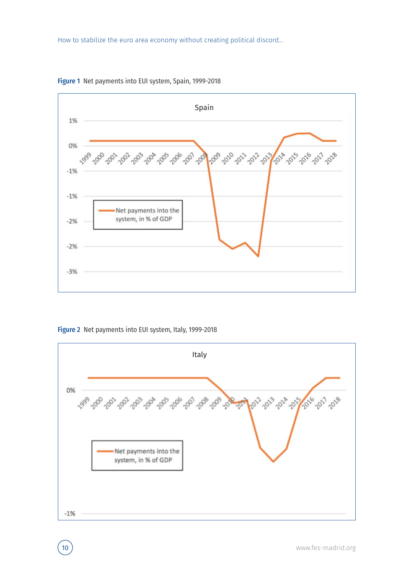

Figure 1 Net payments into EUI system, Spain, 1999-2018

Figure 2 Net payments into EUI system, Italy, 1999-2018

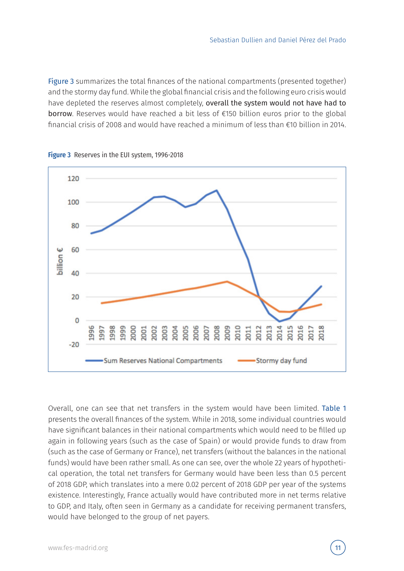Figure 3 summarizes the total finances of the national compartments (presented together) and the stormy day fund. While the global financial crisis and the following euro crisis would have depleted the reserves almost completely, overall the system would not have had to borrow. Reserves would have reached a bit less of €150 billion euros prior to the global financial crisis of 2008 and would have reached a minimum of less than €10 billion in 2014.



Figure 3 Reserves in the EUI system, 1996-2018

Overall, one can see that net transfers in the system would have been limited. Table 1 presents the overall finances of the system. While in 2018, some individual countries would have significant balances in their national compartments which would need to be filled up again in following years (such as the case of Spain) or would provide funds to draw from (such as the case of Germany or France), net transfers (without the balances in the national funds) would have been rather small. As one can see, over the whole 22 years of hypothetical operation, the total net transfers for Germany would have been less than 0.5 percent of 2018 GDP, which translates into a mere 0.02 percent of 2018 GDP per year of the systems existence. Interestingly, France actually would have contributed more in net terms relative to GDP, and Italy, often seen in Germany as a candidate for receiving permanent transfers, would have belonged to the group of net payers.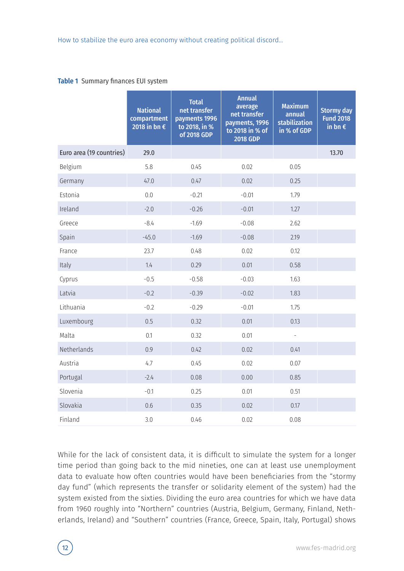#### Table 1 Summary finances EUI system

|                          | <b>National</b><br>compartment<br>2018 in bn $\epsilon$ | <b>Total</b><br>net transfer<br>payments 1996<br>to 2018, in %<br>of 2018 GDP | <b>Annual</b><br>average<br>net transfer<br>payments, 1996<br>to 2018 in % of<br><b>2018 GDP</b> | <b>Maximum</b><br>annual<br>stabilization<br>in % of GDP | <b>Stormy day</b><br><b>Fund 2018</b><br>in bn $\epsilon$ |
|--------------------------|---------------------------------------------------------|-------------------------------------------------------------------------------|--------------------------------------------------------------------------------------------------|----------------------------------------------------------|-----------------------------------------------------------|
| Euro area (19 countries) | 29.0                                                    |                                                                               |                                                                                                  |                                                          | 13.70                                                     |
| Belgium                  | 5.8                                                     | 0.45                                                                          | 0.02                                                                                             | 0.05                                                     |                                                           |
| Germany                  | 47.0                                                    | 0.47                                                                          | 0.02                                                                                             | 0.25                                                     |                                                           |
| Estonia                  | 0.0                                                     | $-0.21$                                                                       | $-0.01$                                                                                          | 1.79                                                     |                                                           |
| Ireland                  | $-2.0$                                                  | $-0.26$                                                                       | $-0.01$                                                                                          | 1.27                                                     |                                                           |
| Greece                   | $-8.4$                                                  | $-1.69$                                                                       | $-0.08$                                                                                          | 2.62                                                     |                                                           |
| Spain                    | $-45.0$                                                 | $-1.69$                                                                       | $-0.08$                                                                                          | 2.19                                                     |                                                           |
| France                   | 23.7                                                    | 0.48                                                                          | 0.02                                                                                             | 0.12                                                     |                                                           |
| Italy                    | 1.4                                                     | 0.29                                                                          | 0.01                                                                                             | 0.58                                                     |                                                           |
| Cyprus                   | $-0.5$                                                  | $-0.58$                                                                       | $-0.03$                                                                                          | 1.63                                                     |                                                           |
| Latvia                   | $-0.2$                                                  | $-0.39$                                                                       | $-0.02$                                                                                          | 1.83                                                     |                                                           |
| Lithuania                | $-0.2$                                                  | $-0.29$                                                                       | $-0.01$                                                                                          | 1.75                                                     |                                                           |
| Luxembourg               | 0.5                                                     | 0.32                                                                          | 0.01                                                                                             | 0.13                                                     |                                                           |
| Malta                    | 0.1                                                     | 0.32                                                                          | 0.01                                                                                             | $\overline{a}$                                           |                                                           |
| Netherlands              | 0.9                                                     | 0.42                                                                          | 0.02                                                                                             | 0.41                                                     |                                                           |
| Austria                  | 4.7                                                     | 0.45                                                                          | 0.02                                                                                             | 0.07                                                     |                                                           |
| Portugal                 | $-2.4$                                                  | 0.08                                                                          | 0.00                                                                                             | 0.85                                                     |                                                           |
| Slovenia                 | $-0.1$                                                  | 0.25                                                                          | 0.01                                                                                             | 0.51                                                     |                                                           |
| Slovakia                 | 0.6                                                     | 0.35                                                                          | 0.02                                                                                             | 0.17                                                     |                                                           |
| Finland                  | 3.0                                                     | 0.46                                                                          | 0.02                                                                                             | 0.08                                                     |                                                           |

While for the lack of consistent data, it is difficult to simulate the system for a longer time period than going back to the mid nineties, one can at least use unemployment data to evaluate how often countries would have been beneficiaries from the "stormy day fund" (which represents the transfer or solidarity element of the system) had the system existed from the sixties. Dividing the euro area countries for which we have data from 1960 roughly into "Northern" countries (Austria, Belgium, Germany, Finland, Netherlands, Ireland) and "Southern" countries (France, Greece, Spain, Italy, Portugal) shows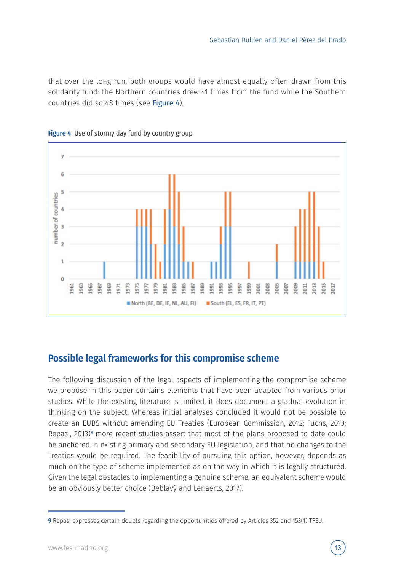that over the long run, both groups would have almost equally often drawn from this solidarity fund: the Northern countries drew 41 times from the fund while the Southern countries did so 48 times (see Figure 4).





#### **Possible legal frameworks for this compromise scheme**

The following discussion of the legal aspects of implementing the compromise scheme we propose in this paper contains elements that have been adapted from various prior studies. While the existing literature is limited, it does document a gradual evolution in thinking on the subject. Whereas initial analyses concluded it would not be possible to create an EUBS without amending EU Treaties (European Commission, 2012; Fuchs, 2013; Repasi, 2013)<sup>9</sup> more recent studies assert that most of the plans proposed to date could be anchored in existing primary and secondary EU legislation, and that no changes to the Treaties would be required. The feasibility of pursuing this option, however, depends as much on the type of scheme implemented as on the way in which it is legally structured. Given the legal obstacles to implementing a genuine scheme, an equivalent scheme would be an obviously better choice (Beblavý and Lenaerts, 2017).

<sup>9</sup> Repasi expresses certain doubts regarding the opportunities offered by Articles 352 and 153(1) TFEU.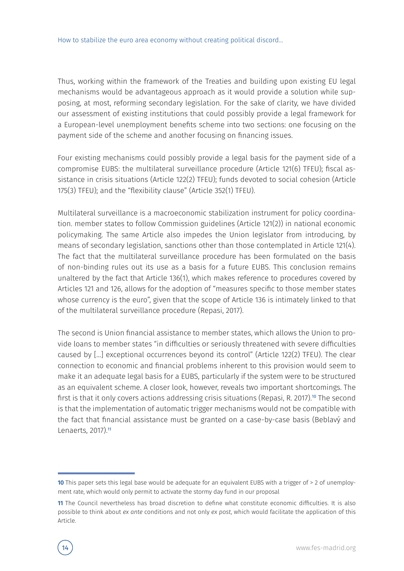Thus, working within the framework of the Treaties and building upon existing EU legal mechanisms would be advantageous approach as it would provide a solution while supposing, at most, reforming secondary legislation. For the sake of clarity, we have divided our assessment of existing institutions that could possibly provide a legal framework for a European-level unemployment benefits scheme into two sections: one focusing on the payment side of the scheme and another focusing on financing issues.

Four existing mechanisms could possibly provide a legal basis for the payment side of a compromise EUBS: the multilateral surveillance procedure (Article 121(6) TFEU); fiscal assistance in crisis situations (Article 122(2) TFEU); funds devoted to social cohesion (Article 175(3) TFEU); and the "flexibility clause" (Article 352(1) TFEU).

Multilateral surveillance is a macroeconomic stabilization instrument for policy coordination. member states to follow Commission guidelines (Article 121(2)) in national economic policymaking. The same Article also impedes the Union legislator from introducing, by means of secondary legislation, sanctions other than those contemplated in Article 121(4). The fact that the multilateral surveillance procedure has been formulated on the basis of non-binding rules out its use as a basis for a future EUBS. This conclusion remains unaltered by the fact that Article 136(1), which makes reference to procedures covered by Articles 121 and 126, allows for the adoption of "measures specific to those member states whose currency is the euro", given that the scope of Article 136 is intimately linked to that of the multilateral surveillance procedure (Repasi, 2017).

The second is Union financial assistance to member states, which allows the Union to provide loans to member states "in difficulties or seriously threatened with severe difficulties caused by […] exceptional occurrences beyond its control" (Article 122(2) TFEU). The clear connection to economic and financial problems inherent to this provision would seem to make it an adequate legal basis for a EUBS, particularly if the system were to be structured as an equivalent scheme. A closer look, however, reveals two important shortcomings. The first is that it only covers actions addressing crisis situations (Repasi, R. 2017).<sup>10</sup> The second is that the implementation of automatic trigger mechanisms would not be compatible with the fact that financial assistance must be granted on a case-by-case basis (Beblavý and Lenaerts, 2017).<sup>11</sup>

<sup>11</sup> The Council nevertheless has broad discretion to define what constitute economic difficulties. It is also possible to think about *ex ante* conditions and not only *ex post*, which would facilitate the application of this Article.



<sup>10</sup> This paper sets this legal base would be adequate for an equivalent EUBS with a trigger of > 2 of unemployment rate, which would only permit to activate the stormy day fund in our proposal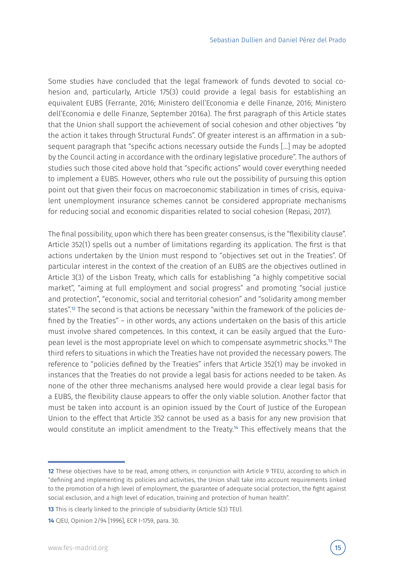Some studies have concluded that the legal framework of funds devoted to social cohesion and, particularly, Article 175(3) could provide a legal basis for establishing an equivalent EUBS (Ferrante, 2016; Ministero dell'Economia e delle Finanze, 2016; Ministero dell'Economia e delle Finanze, September 2016a). The first paragraph of this Article states that the Union shall support the achievement of social cohesion and other objectives "by the action it takes through Structural Funds". Of greater interest is an affirmation in a subsequent paragraph that "specific actions necessary outside the Funds […] may be adopted by the Council acting in accordance with the ordinary legislative procedure". The authors of studies such those cited above hold that "specific actions" would cover everything needed to implement a EUBS. However, others who rule out the possibility of pursuing this option point out that given their focus on macroeconomic stabilization in times of crisis, equivalent unemployment insurance schemes cannot be considered appropriate mechanisms for reducing social and economic disparities related to social cohesion (Repasi, 2017).

The final possibility, upon which there has been greater consensus, is the "flexibility clause". Article 352(1) spells out a number of limitations regarding its application. The first is that actions undertaken by the Union must respond to "objectives set out in the Treaties". Of particular interest in the context of the creation of an EUBS are the objectives outlined in Article 3(3) of the Lisbon Treaty, which calls for establishing "a highly competitive social market", "aiming at full employment and social progress" and promoting "social justice and protection", "economic, social and territorial cohesion" and "solidarity among member states".<sup>12</sup> The second is that actions be necessary "within the framework of the policies defined by the Treaties" – in other words, any actions undertaken on the basis of this article must involve shared competences. In this context, it can be easily argued that the European level is the most appropriate level on which to compensate asymmetric shocks.<sup>13</sup> The third refers to situations in which the Treaties have not provided the necessary powers. The reference to "policies defined by the Treaties" infers that Article 352(1) may be invoked in instances that the Treaties do not provide a legal basis for actions needed to be taken. As none of the other three mechanisms analysed here would provide a clear legal basis for a EUBS, the flexibility clause appears to offer the only viable solution. Another factor that must be taken into account is an opinion issued by the Court of Justice of the European Union to the effect that Article 352 cannot be used as a basis for any new provision that would constitute an implicit amendment to the Treaty.<sup>14</sup> This effectively means that the

<sup>12</sup> These objectives have to be read, among others, in conjunction with Article 9 TFEU, according to which in "defining and implementing its policies and activities, the Union shall take into account requirements linked to the promotion of a high level of employment, the guarantee of adequate social protection, the fight against social exclusion, and a high level of education, training and protection of human health".

<sup>13</sup> This is clearly linked to the principle of subsidiarity (Article 5(3) TEU).

<sup>14</sup> CJEU, Opinion 2/94 [1996], ECR I-1759, para. 30.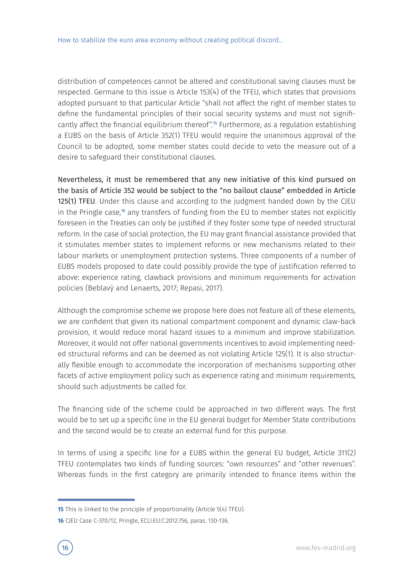distribution of competences cannot be altered and constitutional saving clauses must be respected. Germane to this issue is Article 153(4) of the TFEU, which states that provisions adopted pursuant to that particular Article "shall not affect the right of member states to define the fundamental principles of their social security systems and must not significantly affect the financial equilibrium thereof".<sup>15</sup> Furthermore, as a regulation establishing a EUBS on the basis of Article 352(1) TFEU would require the unanimous approval of the Council to be adopted, some member states could decide to veto the measure out of a desire to safeguard their constitutional clauses.

Nevertheless, it must be remembered that any new initiative of this kind pursued on the basis of Article 352 would be subject to the "no bailout clause" embedded in Article 125(1) TFEU. Under this clause and according to the judgment handed down by the CJEU in the Pringle case,<sup>16</sup> any transfers of funding from the EU to member states not explicitly foreseen in the Treaties can only be justified if they foster some type of needed structural reform. In the case of social protection, the EU may grant financial assistance provided that it stimulates member states to implement reforms or new mechanisms related to their labour markets or unemployment protection systems. Three components of a number of EUBS models proposed to date could possibly provide the type of justification referred to above: experience rating, clawback provisions and minimum requirements for activation policies (Beblavý and Lenaerts, 2017; Repasi, 2017).

Although the compromise scheme we propose here does not feature all of these elements, we are confident that given its national compartment component and dynamic claw-back provision, it would reduce moral hazard issues to a minimum and improve stabilization. Moreover, it would not offer national governments incentives to avoid implementing needed structural reforms and can be deemed as not violating Article 125(1). It is also structurally flexible enough to accommodate the incorporation of mechanisms supporting other facets of active employment policy such as experience rating and minimum requirements, should such adjustments be called for.

The financing side of the scheme could be approached in two different ways. The first would be to set up a specific line in the EU general budget for Member State contributions and the second would be to create an external fund for this purpose.

In terms of using a specific line for a EUBS within the general EU budget, Article 311(2) TFEU contemplates two kinds of funding sources: "own resources" and "other revenues". Whereas funds in the first category are primarily intended to finance items within the

**<sup>15</sup>** This is linked to the principle of proportionality (Article 5(4) TFEU).

<sup>16</sup> CJEU Case C-370/12, Pringle, ECLI:EU:C:2012:756, paras. 130-136.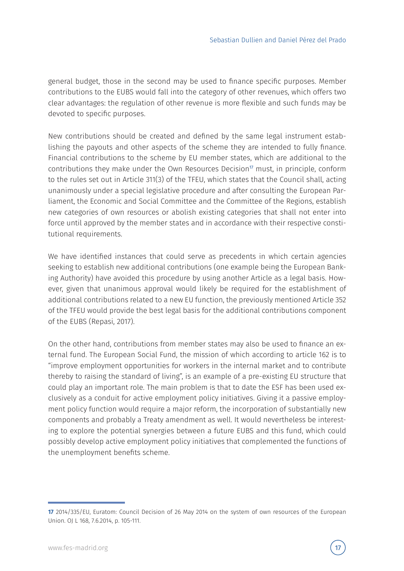general budget, those in the second may be used to finance specific purposes. Member contributions to the EUBS would fall into the category of other revenues, which offers two clear advantages: the regulation of other revenue is more flexible and such funds may be devoted to specific purposes.

New contributions should be created and defined by the same legal instrument establishing the payouts and other aspects of the scheme they are intended to fully finance. Financial contributions to the scheme by EU member states, which are additional to the contributions they make under the Own Resources Decision<sup> $\eta$ </sup> must, in principle, conform to the rules set out in Article 311(3) of the TFEU, which states that the Council shall, acting unanimously under a special legislative procedure and after consulting the European Parliament, the Economic and Social Committee and the Committee of the Regions, establish new categories of own resources or abolish existing categories that shall not enter into force until approved by the member states and in accordance with their respective constitutional requirements.

We have identified instances that could serve as precedents in which certain agencies seeking to establish new additional contributions (one example being the European Banking Authority) have avoided this procedure by using another Article as a legal basis. However, given that unanimous approval would likely be required for the establishment of additional contributions related to a new EU function, the previously mentioned Article 352 of the TFEU would provide the best legal basis for the additional contributions component of the EUBS (Repasi, 2017).

On the other hand, contributions from member states may also be used to finance an external fund. The European Social Fund, the mission of which according to article 162 is to "improve employment opportunities for workers in the internal market and to contribute thereby to raising the standard of living", is an example of a pre-existing EU structure that could play an important role. The main problem is that to date the ESF has been used exclusively as a conduit for active employment policy initiatives. Giving it a passive employment policy function would require a major reform, the incorporation of substantially new components and probably a Treaty amendment as well. It would nevertheless be interesting to explore the potential synergies between a future EUBS and this fund, which could possibly develop active employment policy initiatives that complemented the functions of the unemployment benefits scheme.

<sup>17</sup> 2014/335/EU, Euratom: Council Decision of 26 May 2014 on the system of own resources of the European Union. OJ L 168, 7.6.2014, p. 105-111.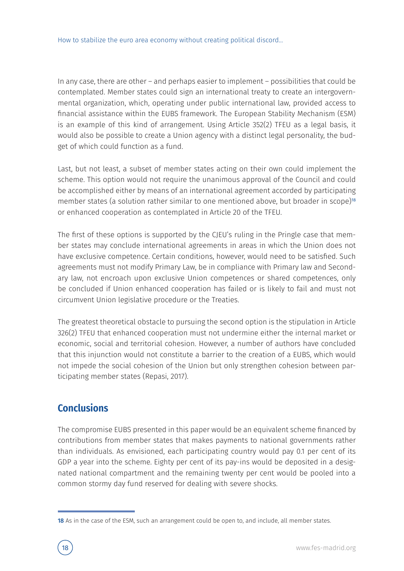In any case, there are other – and perhaps easier to implement – possibilities that could be contemplated. Member states could sign an international treaty to create an intergovernmental organization, which, operating under public international law, provided access to financial assistance within the EUBS framework. The European Stability Mechanism (ESM) is an example of this kind of arrangement. Using Article 352(2) TFEU as a legal basis, it would also be possible to create a Union agency with a distinct legal personality, the budget of which could function as a fund.

Last, but not least, a subset of member states acting on their own could implement the scheme. This option would not require the unanimous approval of the Council and could be accomplished either by means of an international agreement accorded by participating member states (a solution rather similar to one mentioned above, but broader in scope)<sup>18</sup> or enhanced cooperation as contemplated in Article 20 of the TFEU.

The first of these options is supported by the CJEU's ruling in the Pringle case that member states may conclude international agreements in areas in which the Union does not have exclusive competence. Certain conditions, however, would need to be satisfied. Such agreements must not modify Primary Law, be in compliance with Primary law and Secondary law, not encroach upon exclusive Union competences or shared competences, only be concluded if Union enhanced cooperation has failed or is likely to fail and must not circumvent Union legislative procedure or the Treaties.

The greatest theoretical obstacle to pursuing the second option is the stipulation in Article 326(2) TFEU that enhanced cooperation must not undermine either the internal market or economic, social and territorial cohesion. However, a number of authors have concluded that this injunction would not constitute a barrier to the creation of a EUBS, which would not impede the social cohesion of the Union but only strengthen cohesion between participating member states (Repasi, 2017).

#### **Conclusions**

The compromise EUBS presented in this paper would be an equivalent scheme financed by contributions from member states that makes payments to national governments rather than individuals. As envisioned, each participating country would pay 0.1 per cent of its GDP a year into the scheme. Eighty per cent of its pay-ins would be deposited in a designated national compartment and the remaining twenty per cent would be pooled into a common stormy day fund reserved for dealing with severe shocks.

<sup>18</sup> As in the case of the ESM, such an arrangement could be open to, and include, all member states.

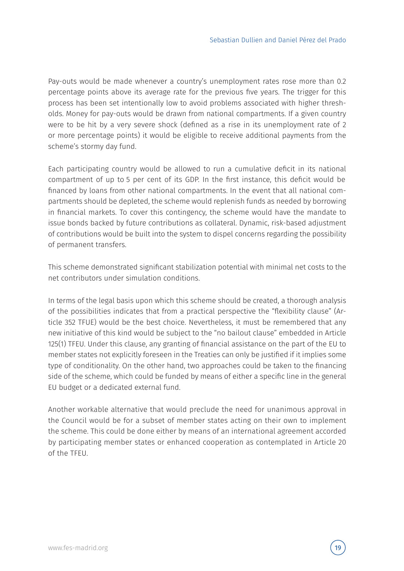Pay-outs would be made whenever a country's unemployment rates rose more than 0.2 percentage points above its average rate for the previous five years. The trigger for this process has been set intentionally low to avoid problems associated with higher thresholds. Money for pay-outs would be drawn from national compartments. If a given country were to be hit by a very severe shock (defined as a rise in its unemployment rate of 2 or more percentage points) it would be eligible to receive additional payments from the scheme's stormy day fund.

Each participating country would be allowed to run a cumulative deficit in its national compartment of up to 5 per cent of its GDP. In the first instance, this deficit would be financed by loans from other national compartments. In the event that all national compartments should be depleted, the scheme would replenish funds as needed by borrowing in financial markets. To cover this contingency, the scheme would have the mandate to issue bonds backed by future contributions as collateral. Dynamic, risk-based adjustment of contributions would be built into the system to dispel concerns regarding the possibility of permanent transfers.

This scheme demonstrated significant stabilization potential with minimal net costs to the net contributors under simulation conditions.

In terms of the legal basis upon which this scheme should be created, a thorough analysis of the possibilities indicates that from a practical perspective the "flexibility clause" (Article 352 TFUE) would be the best choice. Nevertheless, it must be remembered that any new initiative of this kind would be subject to the "no bailout clause" embedded in Article 125(1) TFEU. Under this clause, any granting of financial assistance on the part of the EU to member states not explicitly foreseen in the Treaties can only be justified if it implies some type of conditionality. On the other hand, two approaches could be taken to the financing side of the scheme, which could be funded by means of either a specific line in the general EU budget or a dedicated external fund.

Another workable alternative that would preclude the need for unanimous approval in the Council would be for a subset of member states acting on their own to implement the scheme. This could be done either by means of an international agreement accorded by participating member states or enhanced cooperation as contemplated in Article 20 of the TFEU.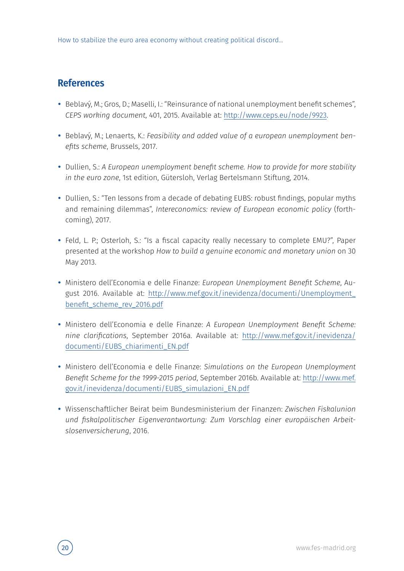#### **References**

- Beblavý, M.; Gros, D.; Maselli, I.: "Reinsurance of national unemployment benefit schemes", *CEPS working document*, 401, 2015. Available at: http://www.ceps.eu/node/9923.
- Beblavý, M.; Lenaerts, K.: *Feasibility and added value of a european unemployment benefits scheme*, Brussels, 2017.
- Dullien, S.: *A European unemployment benefit scheme. How to provide for more stability in the euro zone*, 1st edition, Gütersloh, Verlag Bertelsmann Stiftung, 2014.
- Dullien, S.: "Ten lessons from a decade of debating EUBS: robust findings, popular myths and remaining dilemmas", *Intereconomics: review of European economic policy* (forthcoming), 2017.
- Feld, L. P.; Osterloh, S.: "Is a fiscal capacity really necessary to complete EMU?", Paper presented at the workshop *How to build a genuine economic and monetary union* on 30 May 2013.
- Ministero dell'Economia e delle Finanze: *European Unemployment Benefit Scheme*, August 2016. Available at: http://www.mef.gov.it/inevidenza/documenti/Unemployment\_ benefit\_scheme\_rev\_2016.pdf
- Ministero dell'Economia e delle Finanze: *A European Unemployment Benefit Scheme: nine clarifications*, September 2016a. Available at: http://www.mef.gov.it/inevidenza/ documenti/EUBS\_chiarimenti\_EN.pdf
- Ministero dell'Economia e delle Finanze: *Simulations on the European Unemployment Benefit Scheme for the 1999-2015 period*, September 2016b. Available at: http://www.mef. gov.it/inevidenza/documenti/EUBS\_simulazioni\_EN.pdf
- Wissenschaftlicher Beirat beim Bundesministerium der Finanzen: *Zwischen Fiskalunion und fiskalpolitischer Eigenverantwortung: Zum Vorschlag einer europäischen Arbeitslosenversicherung*, 2016.